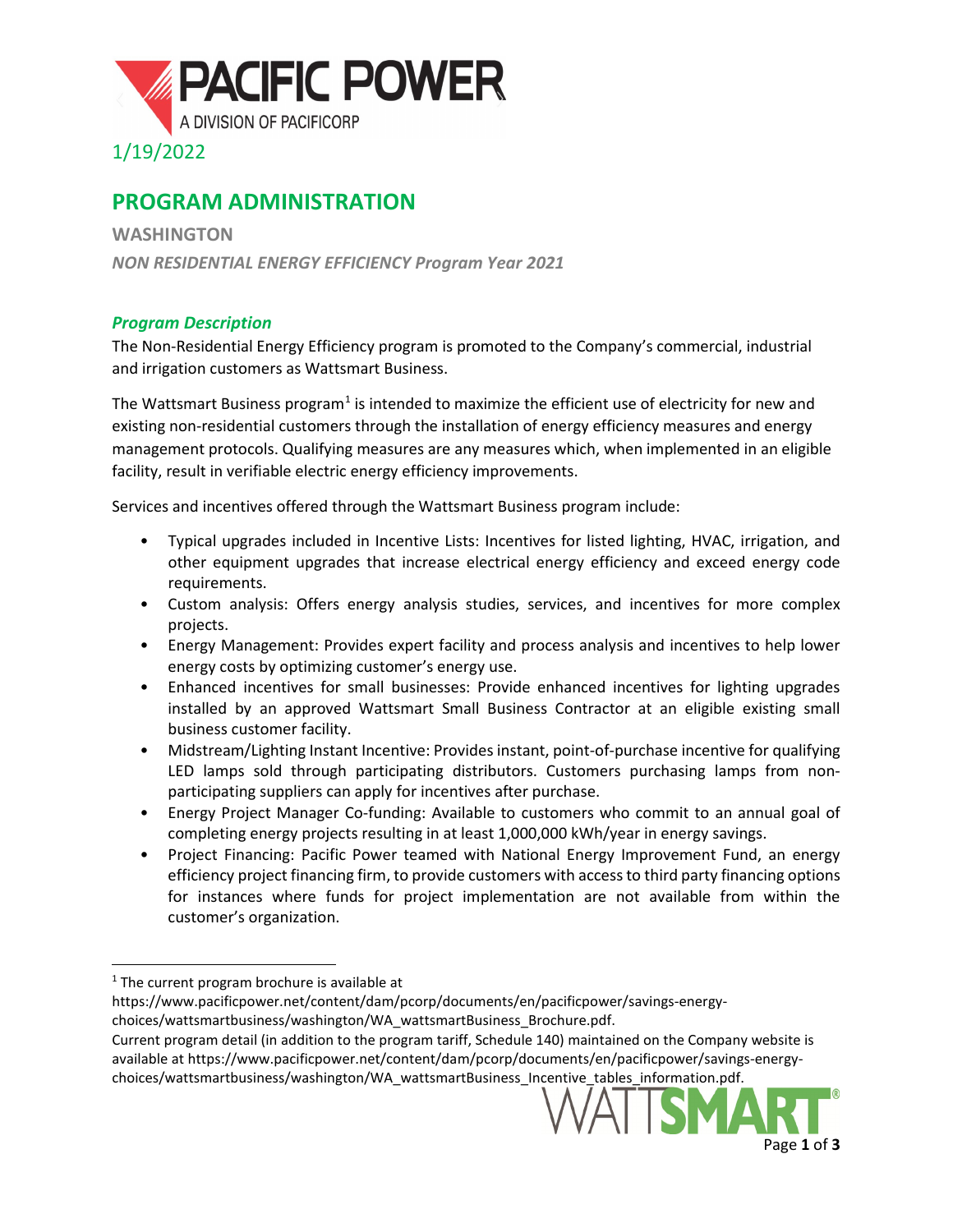

## **PROGRAM ADMINISTRATION**

**WASHINGTON** *NON RESIDENTIAL ENERGY EFFICIENCY Program Year 2021*

## *Program Description*

The Non-Residential Energy Efficiency program is promoted to the Company's commercial, industrial and irrigation customers as Wattsmart Business.

The Wattsmart Business program<sup>[1](#page-0-0)</sup> is intended to maximize the efficient use of electricity for new and existing non-residential customers through the installation of energy efficiency measures and energy management protocols. Qualifying measures are any measures which, when implemented in an eligible facility, result in verifiable electric energy efficiency improvements.

Services and incentives offered through the Wattsmart Business program include:

- Typical upgrades included in Incentive Lists: Incentives for listed lighting, HVAC, irrigation, and other equipment upgrades that increase electrical energy efficiency and exceed energy code requirements.
- Custom analysis: Offers energy analysis studies, services, and incentives for more complex projects.
- Energy Management: Provides expert facility and process analysis and incentives to help lower energy costs by optimizing customer's energy use.
- Enhanced incentives for small businesses: Provide enhanced incentives for lighting upgrades installed by an approved Wattsmart Small Business Contractor at an eligible existing small business customer facility.
- Midstream/Lighting Instant Incentive: Provides instant, point-of-purchase incentive for qualifying LED lamps sold through participating distributors. Customers purchasing lamps from nonparticipating suppliers can apply for incentives after purchase.
- Energy Project Manager Co-funding: Available to customers who commit to an annual goal of completing energy projects resulting in at least 1,000,000 kWh/year in energy savings.
- Project Financing: Pacific Power teamed with National Energy Improvement Fund, an energy efficiency project financing firm, to provide customers with access to third party financing options for instances where funds for project implementation are not available from within the customer's organization.

Current program detail (in addition to the program tariff, Schedule 140) maintained on the Company website is available at https://www.pacificpower.net/content/dam/pcorp/documents/en/pacificpower/savings-energychoices/wattsmartbusiness/washington/WA\_wattsmartBusiness\_Incentive\_tables\_information.pdf.



<span id="page-0-0"></span> $1$  The current program brochure is available at

https://www.pacificpower.net/content/dam/pcorp/documents/en/pacificpower/savings-energy-

choices/wattsmartbusiness/washington/WA\_wattsmartBusiness\_Brochure.pdf.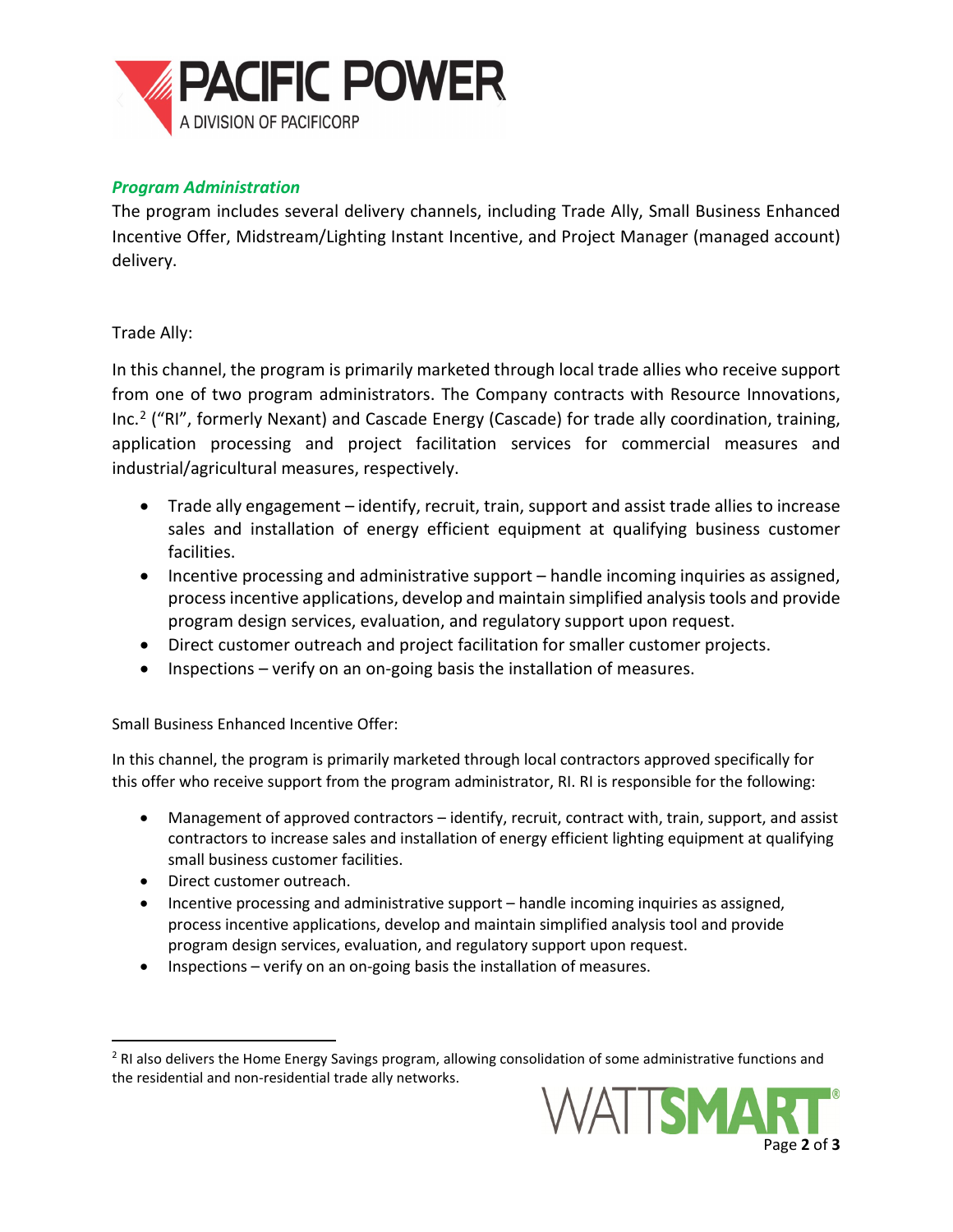

## *Program Administration*

The program includes several delivery channels, including Trade Ally, Small Business Enhanced Incentive Offer, Midstream/Lighting Instant Incentive, and Project Manager (managed account) delivery.

Trade Ally:

In this channel, the program is primarily marketed through local trade allies who receive support from one of two program administrators. The Company contracts with Resource Innovations, Inc.[2](#page-1-0) ("RI", formerly Nexant) and Cascade Energy (Cascade) for trade ally coordination, training, application processing and project facilitation services for commercial measures and industrial/agricultural measures, respectively.

- Trade ally engagement identify, recruit, train, support and assist trade allies to increase sales and installation of energy efficient equipment at qualifying business customer facilities.
- Incentive processing and administrative support handle incoming inquiries as assigned, process incentive applications, develop and maintain simplified analysis tools and provide program design services, evaluation, and regulatory support upon request.
- Direct customer outreach and project facilitation for smaller customer projects.
- Inspections verify on an on-going basis the installation of measures.

Small Business Enhanced Incentive Offer:

In this channel, the program is primarily marketed through local contractors approved specifically for this offer who receive support from the program administrator, RI. RI is responsible for the following:

- Management of approved contractors identify, recruit, contract with, train, support, and assist contractors to increase sales and installation of energy efficient lighting equipment at qualifying small business customer facilities.
- Direct customer outreach.
- Incentive processing and administrative support handle incoming inquiries as assigned, process incentive applications, develop and maintain simplified analysis tool and provide program design services, evaluation, and regulatory support upon request.
- Inspections verify on an on-going basis the installation of measures.

<span id="page-1-0"></span><sup>&</sup>lt;sup>2</sup> RI also delivers the Home Energy Savings program, allowing consolidation of some administrative functions and the residential and non-residential trade ally networks.